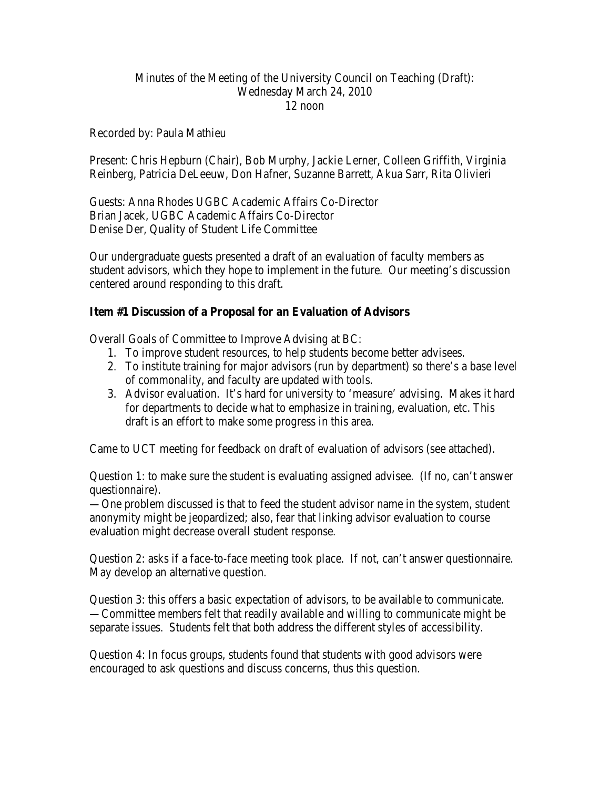## Minutes of the Meeting of the University Council on Teaching (Draft): Wednesday March 24, 2010 12 noon

Recorded by: Paula Mathieu

Present: Chris Hepburn (Chair), Bob Murphy, Jackie Lerner, Colleen Griffith, Virginia Reinberg, Patricia DeLeeuw, Don Hafner, Suzanne Barrett, Akua Sarr, Rita Olivieri

Guests: Anna Rhodes UGBC Academic Affairs Co-Director Brian Jacek, UGBC Academic Affairs Co-Director Denise Der, Quality of Student Life Committee

Our undergraduate guests presented a draft of an evaluation of faculty members as student advisors, which they hope to implement in the future. Our meeting's discussion centered around responding to this draft.

## **Item #1 Discussion of a Proposal for an Evaluation of Advisors**

Overall Goals of Committee to Improve Advising at BC:

- 1. To improve student resources, to help students become better advisees.
- 2. To institute training for major advisors (run by department) so there's a base level of commonality, and faculty are updated with tools.
- 3. Advisor evaluation. It's hard for university to 'measure' advising. Makes it hard for departments to decide what to emphasize in training, evaluation, etc. This draft is an effort to make some progress in this area.

Came to UCT meeting for feedback on draft of evaluation of advisors (see attached).

Question 1: to make sure the student is evaluating assigned advisee. (If no, can't answer questionnaire).

—One problem discussed is that to feed the student advisor name in the system, student anonymity might be jeopardized; also, fear that linking advisor evaluation to course evaluation might decrease overall student response.

Question 2: asks if a face-to-face meeting took place. If not, can't answer questionnaire. May develop an alternative question.

Question 3: this offers a basic expectation of advisors, to be available to communicate. —Committee members felt that readily available and willing to communicate might be separate issues. Students felt that both address the different styles of accessibility.

Question 4: In focus groups, students found that students with good advisors were encouraged to ask questions and discuss concerns, thus this question.